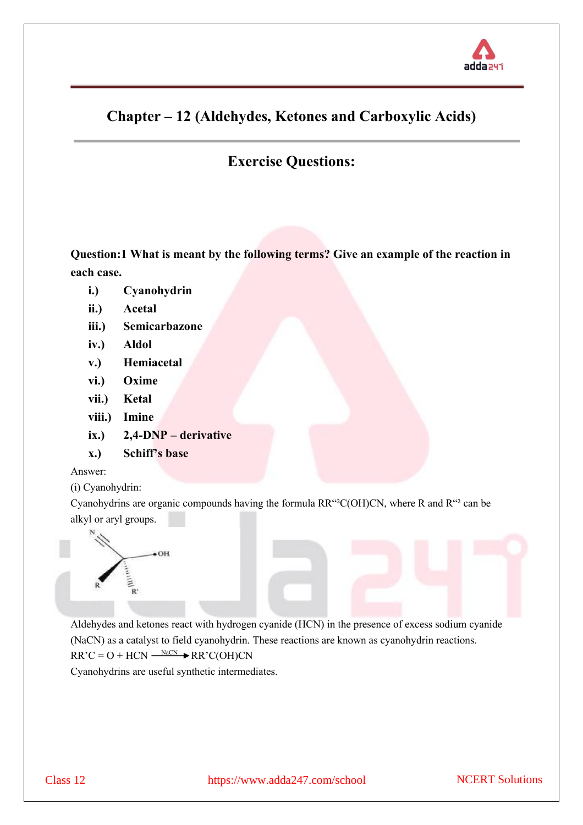

# **Chapter – 12 (Aldehydes, Ketones and Carboxylic Acids)**

# **Exercise Questions:**

**Question:1 What is meant by the following terms? Give an example of the reaction in each case.**

- **i.) Cyanohydrin**
- **ii.) Acetal**
- **iii.) Semicarbazone**
- **iv.) Aldol**
- **v.) Hemiacetal**
- **vi.) Oxime**
- **vii.) Ketal**
- **viii.) Imine**
- **ix.) 2,4-DNP – derivative**
- **x.) Schiff's base**

## Answer:

(i) Cyanohydrin:

Cyanohydrins are organic compounds having the formula RR"²C(OH)CN, where R and R"² can be alkyl or aryl groups.



Aldehydes and ketones react with hydrogen cyanide (HCN) in the presence of excess sodium cyanide (NaCN) as a catalyst to field cyanohydrin. These reactions are known as cyanohydrin reactions.  $RR'C = O + HCN \xrightarrow{NaCN} \bigstar RR'C(OH)CN$ 

Cyanohydrins are useful synthetic intermediates.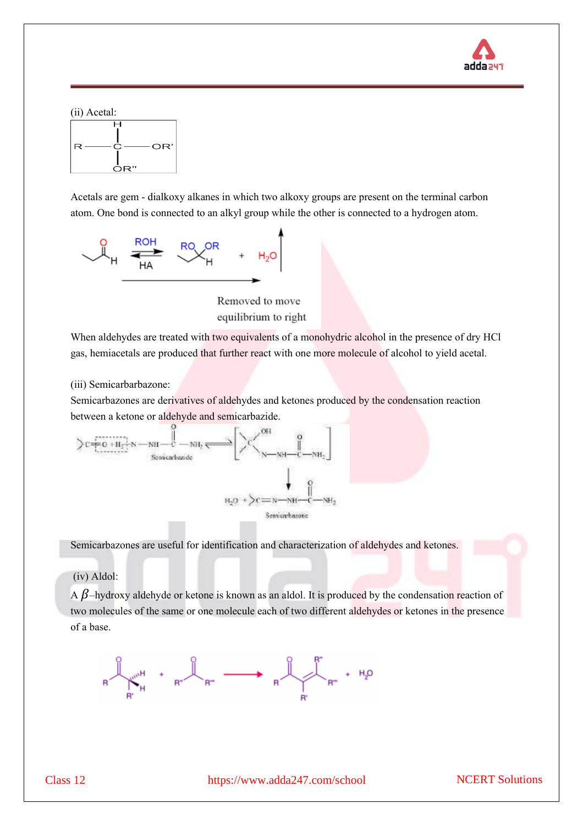



Acetals are gem - dialkoxy alkanes in which two alkoxy groups are present on the terminal carbon atom. One bond is connected to an alkyl group while the other is connected to a hydrogen atom.



Removed to move equilibrium to right

When aldehydes are treated with two equivalents of a monohydric alcohol in the presence of dry HCl gas, hemiacetals are produced that further react with one more molecule of alcohol to yield acetal.

(iii) Semicarbarbazone:

Semicarbazones are derivatives of aldehydes and ketones produced by the condensation reaction between a ketone or aldehyde and semicarbazide.



Semicarbazones are useful for identification and characterization of aldehydes and ketones.

(iv) Aldol:

A  $\beta$ -hydroxy aldehyde or ketone is known as an aldol. It is produced by the condensation reaction of two molecules of the same or one molecule each of two different aldehydes or ketones in the presence of a base.

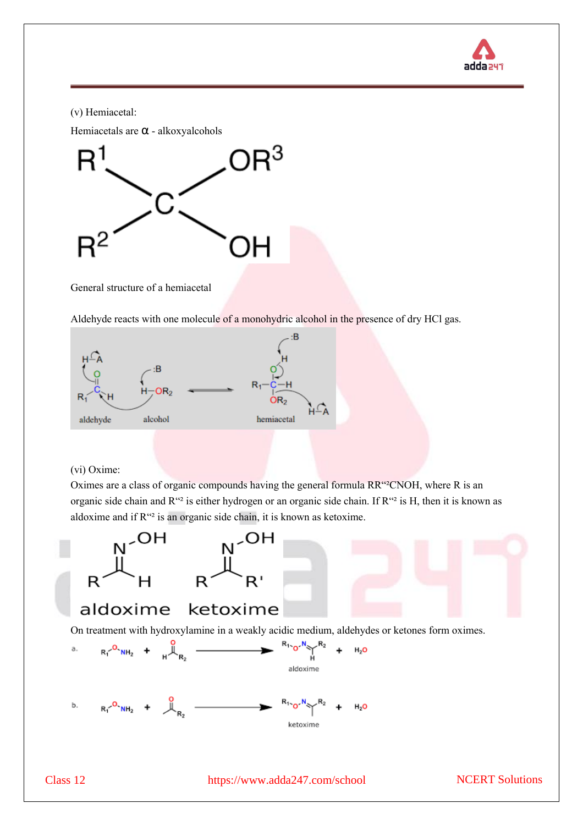

(v) Hemiacetal:

Hemiacetals are α - alkoxyalcohols



General structure of a hemiacetal

Aldehyde reacts with one molecule of a monohydric alcohol in the presence of dry HCl gas.



## (vi) Oxime:

Oximes are a class of organic compounds having the general formula RR"²CNOH, where R is an organic side chain and R"<sup>2</sup> is either hydrogen or an organic side chain. If R"<sup>2</sup> is H, then it is known as aldoxime and if R"² is an organic side chain, it is known as ketoxime.

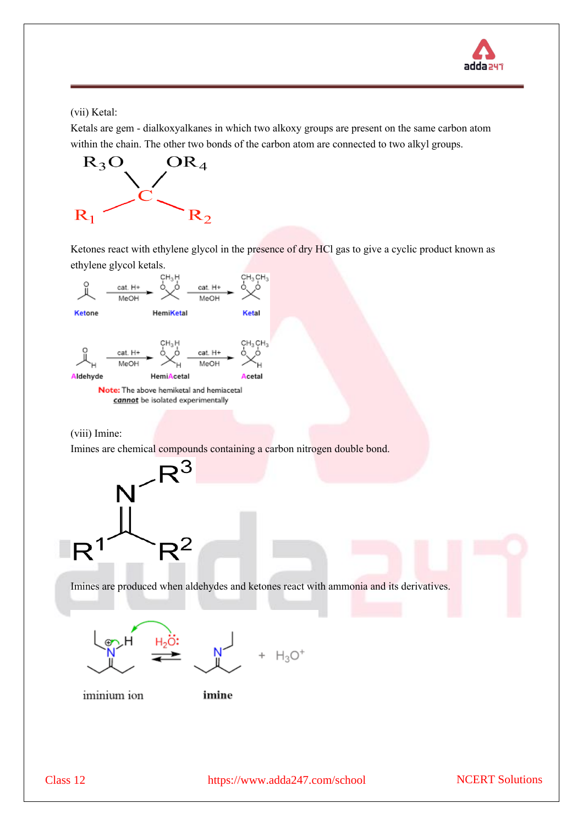

## (vii) Ketal:

Ketals are gem - dialkoxyalkanes in which two alkoxy groups are present on the same carbon atom within the chain. The other two bonds of the carbon atom are connected to two alkyl groups.



Ketones react with ethylene glycol in the presence of dry HCl gas to give a cyclic product known as ethylene glycol ketals.



Note: The above hemiketal and hemiacetal cannot be isolated experimentally

#### (viii) Imine:

Imines are chemical compounds containing a carbon nitrogen double bond.



Imines are produced when aldehydes and ketones react with ammonia and its derivatives.







iminium ion

imine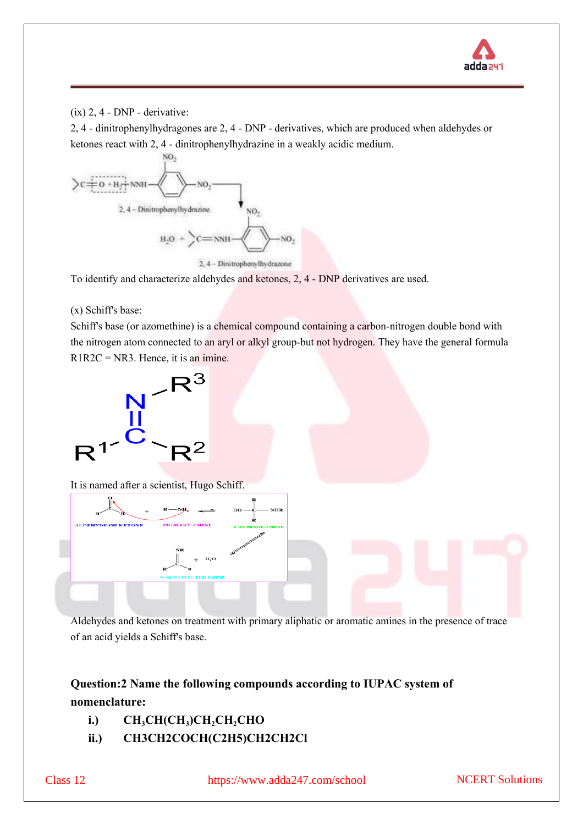

## (ix) 2, 4 - DNP - derivative:

2, 4 - dinitrophenylhydragones are 2, 4 - DNP -derivatives, which are produced when aldehydes or ketones react with 2, 4 - dinitrophenylhydrazine in a weakly acidic medium.



To identify and characterize aldehydes and ketones, 2, 4 - DNP derivatives are used.

## (x) Schiff's base:

Schiff's base (or azomethine) is a chemical compound containing a carbon-nitrogen double bond with the nitrogen atom connected to an aryl or alkyl group-but not hydrogen. They have the general formula  $R1R2C = NR3$ . Hence, it is an imine.



Aldehydes and ketones on treatment with primary aliphatic or aromatic amines in the presence of trace of an acid yields a Schiff's base.

## **Question:2 Name the following compounds according to IUPAC system of nomenclature:**

- **i.) CH3CH(CH<sup>3</sup> )CH2CH2CHO**
- **ii.) CH3CH2COCH(C2H5)CH2CH2Cl**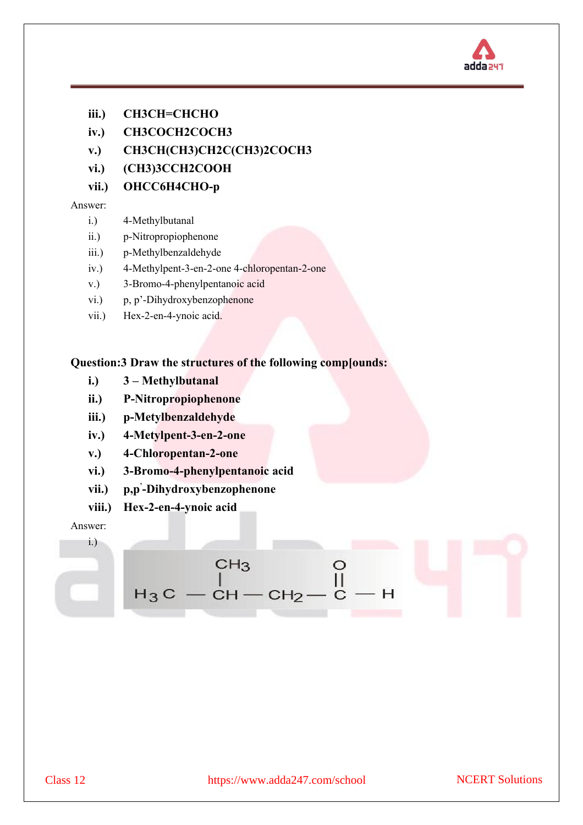

- **iii.) CH3CH=CHCHO**
- **iv.) CH3COCH2COCH3**
- **v.) CH3CH(CH3)CH2C(CH3)2COCH3**
- **vi.) (CH3)3CCH2COOH**
- **vii.) OHCC6H4CHO-p**

- i.) 4-Methylbutanal
- ii.) p-Nitropropiophenone
- iii.) p-Methylbenzaldehyde
- iv.) 4-Methylpent-3-en-2-one 4-chloropentan-2-one
- v.) 3-Bromo-4-phenylpentanoic acid
- vi.) p, p'-Dihydroxybenzophenone
- vii.) Hex-2-en-4-ynoic acid.

## **Question:3 Draw the structures of the following comp[ounds:**

- **i.) 3 – Methylbutanal**
- **ii.) P-Nitropropiophenone**
- **iii.) p-Metylbenzaldehyde**
- **iv.) 4-Metylpent-3-en-2-one**
- **v.) 4-Chloropentan-2-one**
- **vi.) 3-Bromo-4-phenylpentanoic acid**
- **vii.) p,p' -Dihydroxybenzophenone**
- **viii.) Hex-2-en-4-ynoic acid**

Н

Answer: i.)

$$
\begin{array}{ccc}\n & \text{CH}_3 & & \text{O} \\
& & \mid & \text{II} \\
& \text{I}_3\text{C} & -\text{CH} - \text{CH}_2 - \text{C} - \text{H}\n\end{array}
$$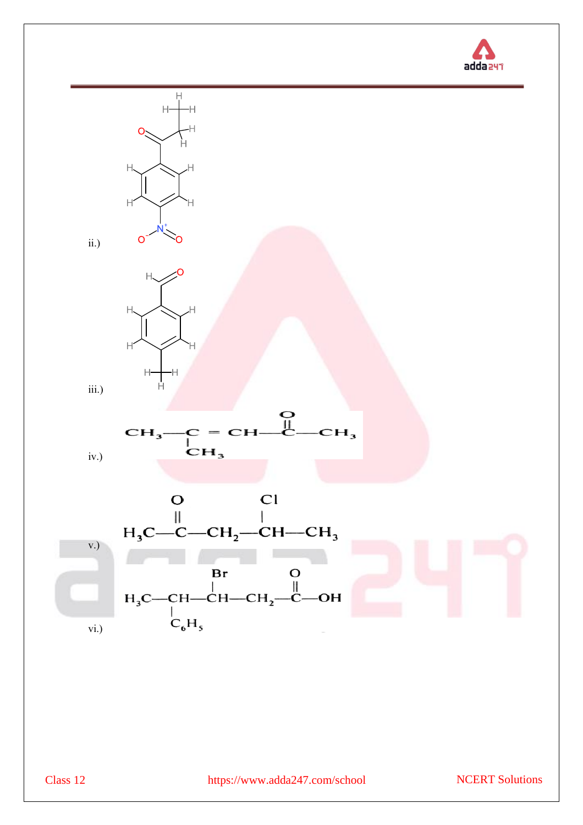

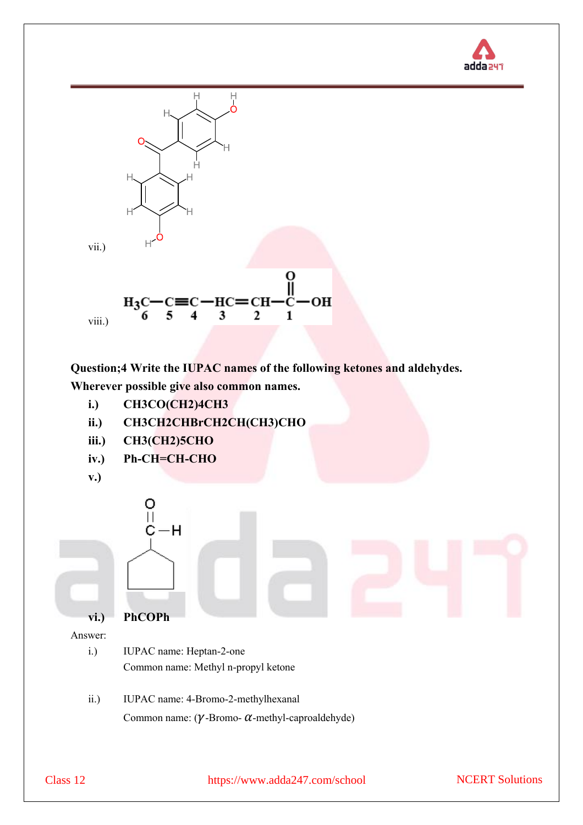



**Question;4 Write the IUPAC names of the following ketones and aldehydes. Wherever possible give also common names.**

- **i.) CH3CO(CH2)4CH3**
- **ii.) CH3CH2CHBrCH2CH(CH3)CHO**
- **iii.) CH3(CH2)5CHO**
- **iv.) Ph-CH=CH-CHO**
- **v.)**



- i.) IUPAC name: Heptan-2-one Common name: Methyl n-propyl ketone
- ii.) IUPAC name: 4-Bromo-2-methylhexanal Common name:  $(\gamma$ -Bromo-  $\alpha$ -methyl-caproaldehyde)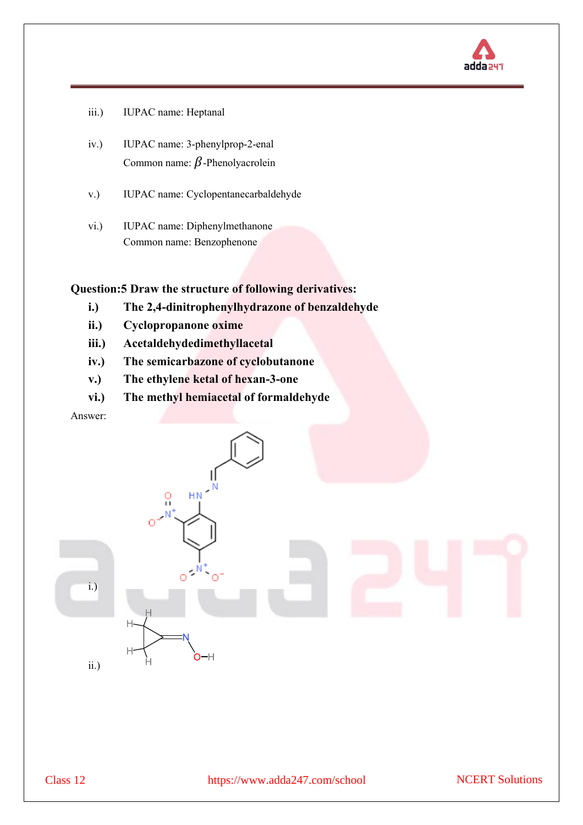

- iii.) IUPAC name: Heptanal
- iv.) IUPAC name: 3-phenylprop-2-enal Common name:  $\beta$ -Phenolyacrolein
- v.) IUPAC name: Cyclopentanecarbaldehyde
- vi.) IUPAC name: Diphenylmethanone Common name: Benzophenone

**Question:5 Draw the structure of following derivatives:**

- **i.) The 2,4-dinitrophenylhydrazone of benzaldehyde**
- **ii.) Cyclopropanone oxime**
- **iii.) Acetaldehydedimethyllacetal**
- **iv.) The semicarbazone of cyclobutanone**
- **v.) The ethylene ketal of hexan-3-one**
- **vi.) The methyl hemiacetal of formaldehyde**

Answer:

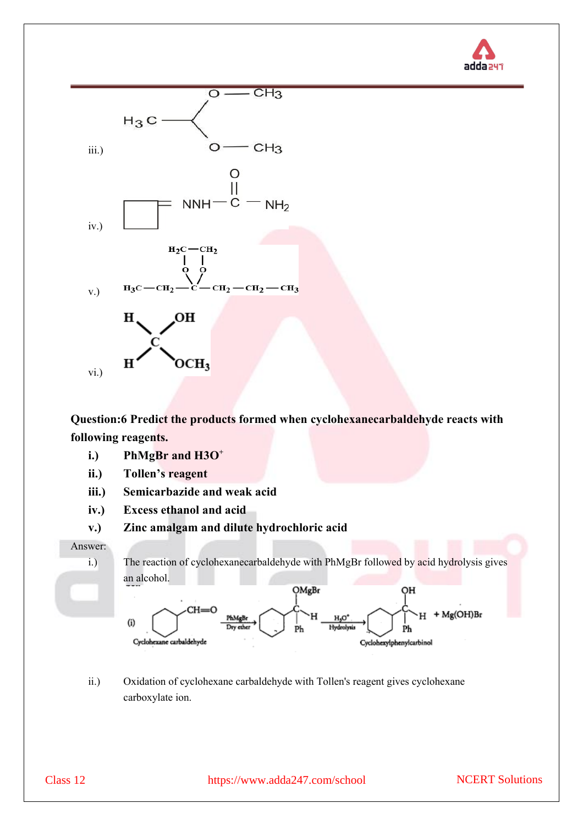



**Question:6 Predict the products formed when cyclohexanecarbaldehyde reacts with following reagents.**

- **i.) PhMgBr and H3O<sup>+</sup>**
- **ii.) Tollen's reagent**
- **iii.) Semicarbazide and weak acid**
- **iv.) Excess ethanol and acid**
- **v.) Zinc amalgam and dilute hydrochloric acid**



ii.) Oxidation of cyclohexane carbaldehyde with Tollen's reagent gives cyclohexane carboxylate ion.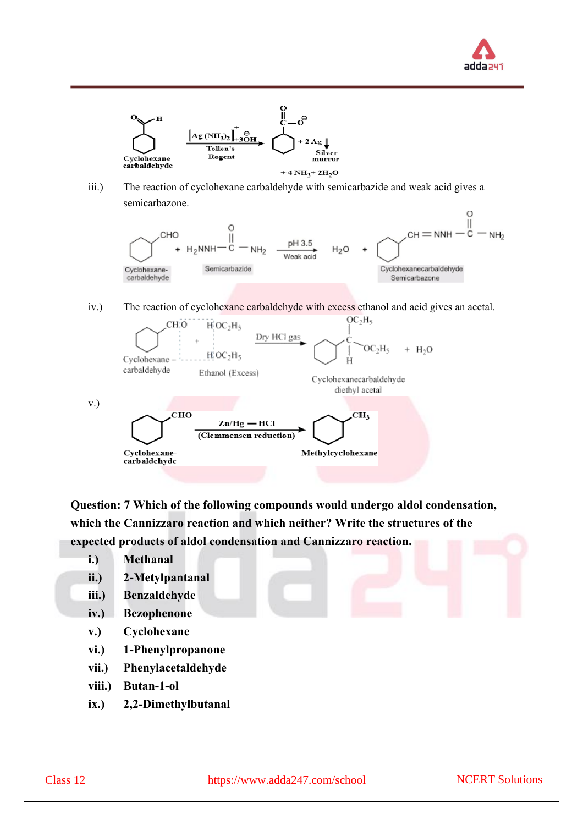



iii.) The reaction of cyclohexane carbaldehyde with semicarbazide and weak acid gives a semicarbazone.



iv.) The reaction of cyclohexane carbaldehyde with excess ethanol and acid gives an acetal.



**Question: 7 Which of the following compounds would undergo aldol condensation, which the Cannizzaro reaction and which neither? Write the structures of the expected products of aldol condensation and Cannizzaro reaction.**

- **i.) Methanal**
- **ii.) 2-Metylpantanal**
- **iii.) Benzaldehyde**
- **iv.) Bezophenone**
- **v.) Cyclohexane**
- **vi.) 1-Phenylpropanone**
- **vii.) Phenylacetaldehyde**
- **viii.) Butan-1-ol**
- **ix.) 2,2-Dimethylbutanal**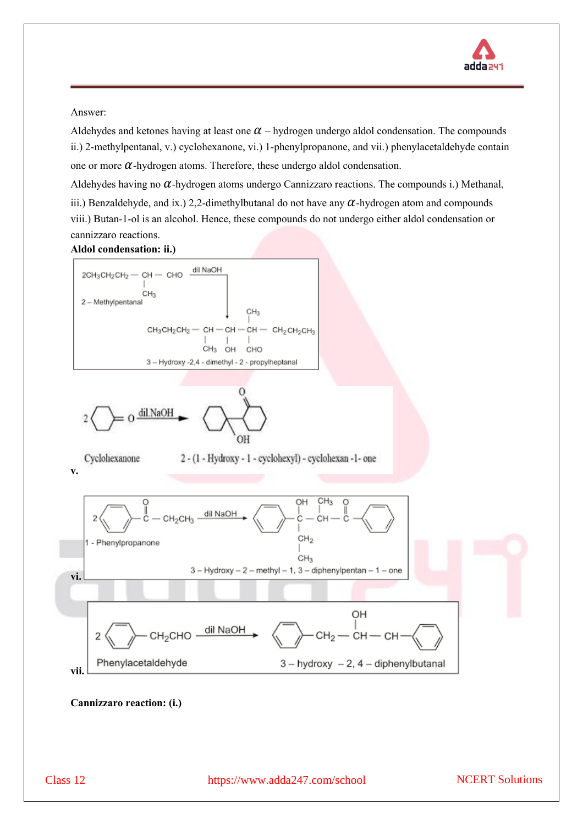

Aldehydes and ketones having at least one  $\alpha$  – hydrogen undergo aldol condensation. The compounds ii.) 2-methylpentanal, v.) cyclohexanone, vi.) 1-phenylpropanone, and vii.) phenylacetaldehyde contain one or more  $\alpha$ -hydrogen atoms. Therefore, these undergo aldol condensation.

Aldehydes having no  $\alpha$ -hydrogen atoms undergo Cannizzaro reactions. The compounds i.) Methanal, iii.) Benzaldehyde, and ix.) 2,2-dimethylbutanal do not have any  $\alpha$ -hydrogen atom and compounds viii.) Butan-1-ol is an alcohol. Hence, these compounds do not undergo either aldol condensation or cannizzaro reactions.

#### **Aldol condensation: ii.)**



**Cannizzaro reaction: (i.)**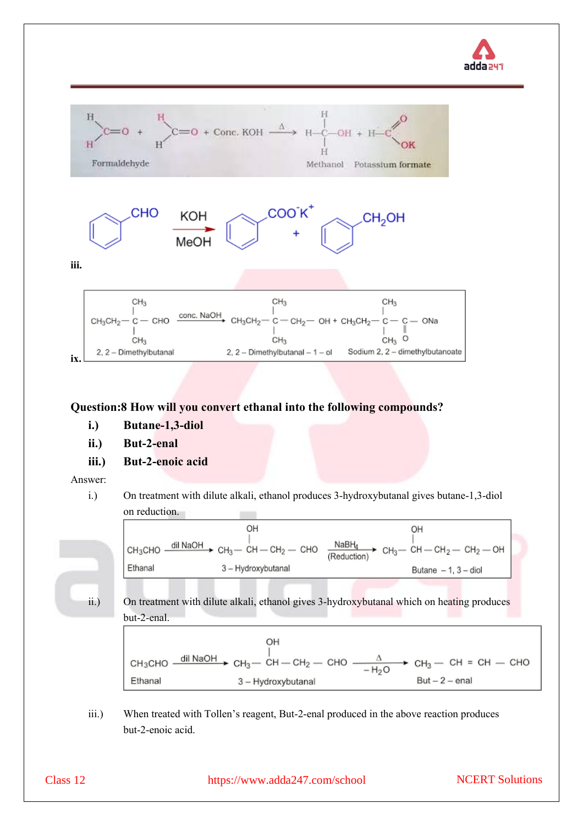



## **Question:8 How will you convert ethanal into the following compounds?**

- **i.) Butane-1,3-diol**
- **ii.) But-2-enal**
- **iii.) But-2-enoic acid**

Answer:

i.) On treatment with dilute alkali, ethanol produces 3-hydroxybutanal gives butane-1,3-diol on reduction.  $\sim$ 

|         | OH                                                                                       | OН                                                                                                       |
|---------|------------------------------------------------------------------------------------------|----------------------------------------------------------------------------------------------------------|
|         |                                                                                          |                                                                                                          |
|         | сн <sub>з</sub> сно — <sup>dil NaOH</sup> → сн <sub>з</sub> — сн — сн <sub>2</sub> — сно | $\frac{\text{NaBH}_4}{\text{(Reduction)}}$ CH <sub>3</sub> - CH - CH <sub>2</sub> - CH <sub>2</sub> - OH |
|         |                                                                                          |                                                                                                          |
| Ethanal | 3 - Hydroxybutanal                                                                       | Butane $-1$ , $3$ - diol                                                                                 |
|         |                                                                                          |                                                                                                          |

ii.) On treatment with dilute alkali, ethanol gives 3-hydroxybutanal which on heating produces but-2-enal.

OH CH<sub>3</sub>CHO  $\frac{d\text{ii NaOH}}{d\text{ii NaOH}}$  CH<sub>3</sub>  $\rightarrow$  CH<sub>3</sub>  $\rightarrow$  CH<sub>2</sub>  $\rightarrow$  CH<sub>3</sub>  $\rightarrow$  CH<sub>3</sub>  $\rightarrow$  CH<sub>3</sub>  $\rightarrow$  CH<sub>3</sub>  $\rightarrow$  CH<sub>3</sub>  $\rightarrow$  CH<sub>3</sub>  $\rightarrow$  CH<sub>3</sub>  $\rightarrow$  CH<sub>3</sub>  $\rightarrow$  CH<sub>3</sub>  $\rightarrow$  CH<sub>3</sub>  $\rightarrow$  CH<sub>3</sub>  $\rightarrow$  CH<sub>3</sub>  $\rightarrow$  CH<sub>3</sub>  $\rightarrow$  CH<sub>3</sub>  $\rightarrow$  CH Ethanal  $But - 2 - enal$ 3 - Hydroxybutanal

iii.) When treated with Tollen's reagent, But-2-enal produced in the above reaction produces but-2-enoic acid.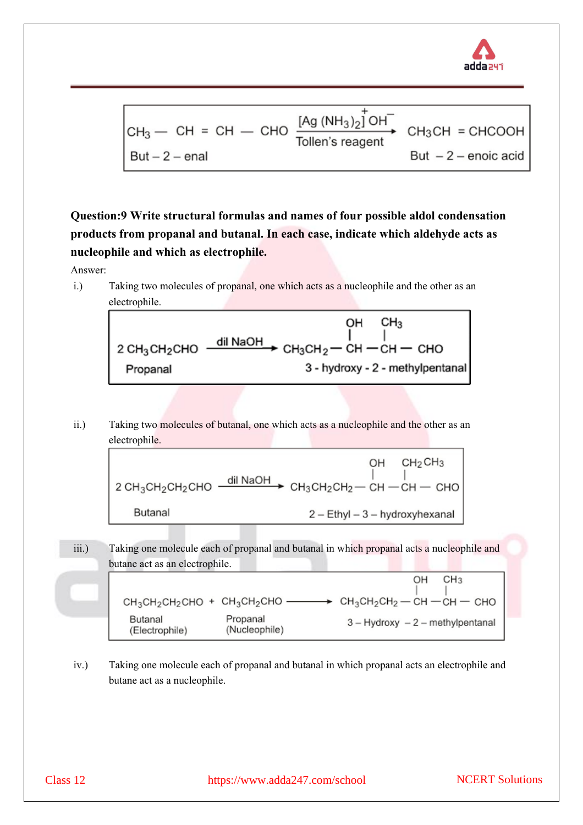

$$
CH_3 - CH = CH - CHO \xrightarrow{Tollen's reagent} CH_3CH = CHCOOH
$$
  
But -2 - enal

**Question:9 Write structural formulas and names of four possible aldol condensation products from propanal and butanal. In each case, indicate which aldehyde acts as nucleophile and which as electrophile.**

Answer:

i.) Taking two molecules of propanal, one which acts as a nucleophile and the other as an electrophile.



ii.) Taking two molecules of butanal, one which acts as a nucleophile and the other as an electrophile.

|                                                                                                                                                    |  | $OH$ $CH2CH3$                  |
|----------------------------------------------------------------------------------------------------------------------------------------------------|--|--------------------------------|
| 2 CH <sub>3</sub> CH <sub>2</sub> CH <sub>2</sub> CHO $\frac{dii \text{ NaOH}}{ }$ CH <sub>3</sub> CH <sub>2</sub> CH <sub>2</sub> - CH - CH - CHO |  |                                |
| Butanal                                                                                                                                            |  | 2 - Ethyl - 3 - hydroxyhexanal |

iii.) Taking one molecule each of propanal and butanal in which propanal acts a nucleophile and butane act as an electrophile.  $CH<sub>3</sub>$ OH  $CH_3CH_2CH_2CHO + CH_3CH_2CHO$   $\longrightarrow$   $CH_3CH_2CH_2-H$   $CH - CH$   $CH$ Butanal Propanal  $3 -$  Hydroxy  $-2$  - methylpentanal (Electrophile) (Nucleophile)

iv.) Taking one molecule each of propanal and butanal in which propanal acts an electrophile and butane act as a nucleophile.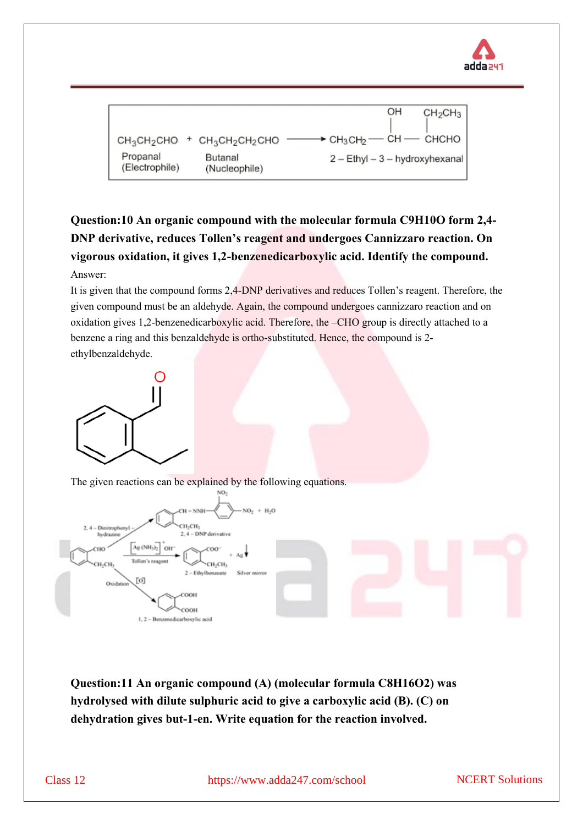



## **Question:10 An organic compound with the molecular formula C9H10O form 2,4- DNP derivative, reduces Tollen's reagent and undergoes Cannizzaro reaction. On vigorous oxidation, it gives 1,2-benzenedicarboxylic acid. Identify the compound.** Answer:

It is given that the compound forms 2,4-DNP derivatives and reduces Tollen's reagent. Therefore, the given compound must be an aldehyde. Again, the compound undergoes cannizzaro reaction and on oxidation gives 1,2-benzenedicarboxylic acid. Therefore, the –CHO group is directly attached to a benzene a ring and this benzaldehyde is ortho-substituted. Hence, the compound is 2 ethylbenzaldehyde.



The given reactions can be explained by the following equations.



**Question:11 An organic compound (A) (molecular formula C8H16O2) was hydrolysed with dilute sulphuric acid to give a carboxylic acid (B). (C) on dehydration gives but-1-en. Write equation for the reaction involved.**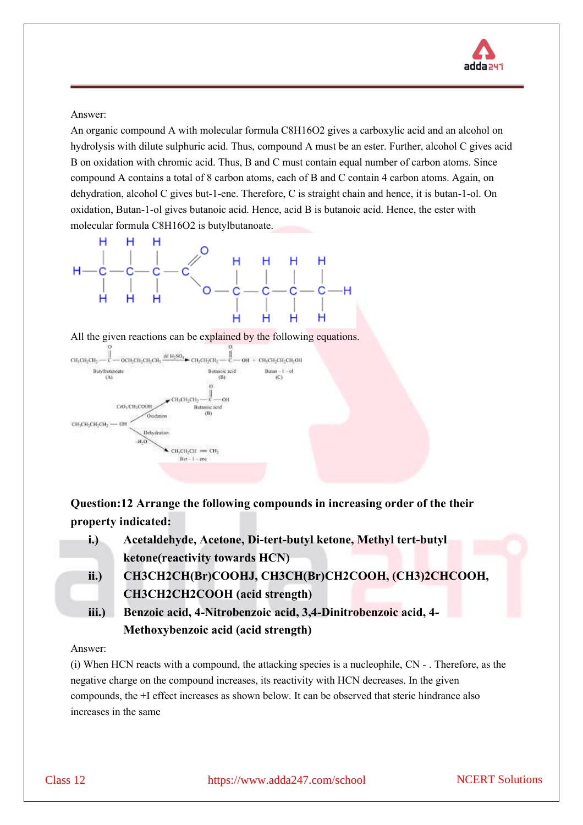

An organic compound A with molecular formula C8H16O2 gives a carboxylic acid and an alcohol on hydrolysis with dilute sulphuric acid. Thus, compound A must be an ester. Further, alcohol C gives acid B on oxidation with chromic acid. Thus, B and C must contain equal number of carbon atoms. Since compound A contains a total of 8 carbon atoms, each of B and C contain 4 carbon atoms. Again, on dehydration, alcohol C gives but-1-ene. Therefore, C is straight chain and hence, it is butan-1-ol. On oxidation, Butan-1-ol gives butanoic acid. Hence, acid B is butanoic acid. Hence, the ester with molecular formula C8H16O2 is butylbutanoate.



All the given reactions can be explained by the following equations.



**Question:12 Arrange the following compounds in increasing order of the their property indicated:**

**i.) Acetaldehyde, Acetone, Di-tert-butyl ketone, Methyl tert-butyl ketone(reactivity towards HCN) ii.) CH3CH2CH(Br)COOHJ, CH3CH(Br)CH2COOH, (CH3)2CHCOOH, CH3CH2CH2COOH (acid strength) iii.) Benzoic acid, 4-Nitrobenzoic acid, 3,4-Dinitrobenzoic acid, 4-**

**Methoxybenzoic acid (acid strength)**

#### Answer:

(i) When HCN reacts with a compound, the attacking species is a nucleophile, CN - . Therefore, as the negative charge on the compound increases, its reactivity with HCN decreases. In the given compounds, the +I effect increases as shown below. It can be observed that steric hindrance also increases in the same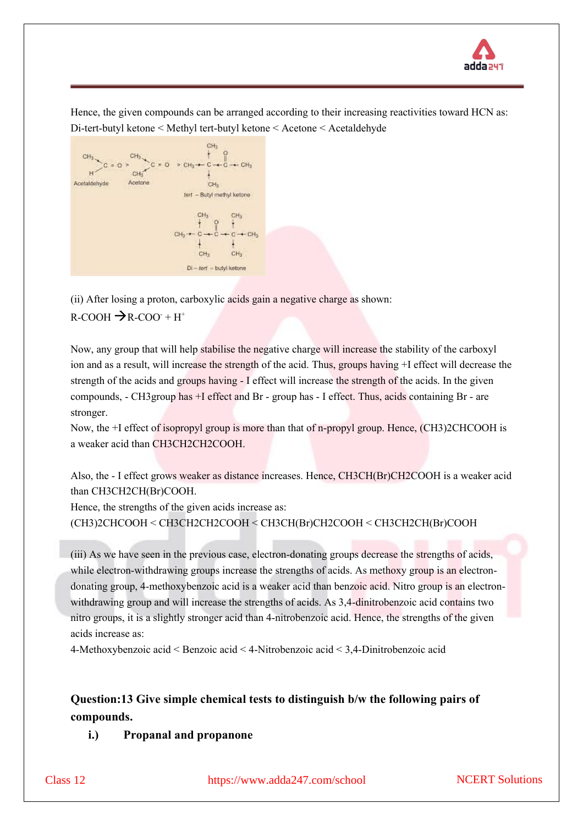

Hence, the given compounds can be arranged according to their increasing reactivities toward HCN as: Di-tert-butyl ketone < Methyl tert-butyl ketone < Acetone < Acetaldehyde



(ii) After losing a proton, carboxylic acids gain a negative charge as shown:  $R-COOH \rightarrow R-COO+H^+$ 

Now, any group that will help stabilise the negative charge will increase the stability of the carboxyl ion and as a result, will increase the strength of the acid. Thus, groups having +I effect will decrease the strength of the acids and groups having - I effect will increase the strength of the acids. In the given compounds, - CH3group has +I effect and Br - group has - I effect. Thus, acids containing Br - are stronger.

Now, the +I effect of isopropyl group is more than that of n-propyl group. Hence, (CH3)2CHCOOH is a weaker acid than CH3CH2CH2COOH.

Also, the - I effect grows weaker as distance increases. Hence, CH3CH(Br)CH2COOH is a weaker acid than CH3CH2CH(Br)COOH.

Hence, the strengths of the given acids increase as: (CH3)2CHCOOH < CH3CH2CH2COOH < CH3CH(Br)CH2COOH < CH3CH2CH(Br)COOH

(iii) As we have seen in the previous case, electron-donating groups decrease the strengths of acids, while electron-withdrawing groups increase the strengths of acids. As methoxy group is an electrondonating group, 4-methoxybenzoic acid is a weaker acid than benzoic acid. Nitro group is an electronwithdrawing group and will increase the strengths of acids. As 3,4-dinitrobenzoic acid contains two nitro groups, it is a slightly stronger acid than 4-nitrobenzoic acid. Hence, the strengths of the given acids increase as:

4-Methoxybenzoic acid < Benzoic acid < 4-Nitrobenzoic acid < 3,4-Dinitrobenzoic acid

## **Question:13 Give simple chemical tests to distinguish b/w the following pairs of compounds.**

**i.) Propanal and propanone**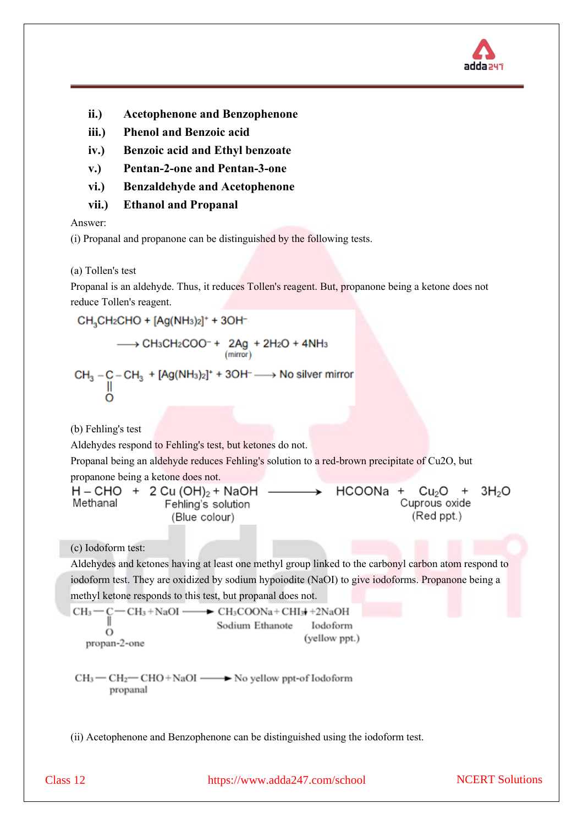

- **ii.) Acetophenone and Benzophenone**
- **iii.) Phenol and Benzoic acid**
- **iv.) Benzoic acid and Ethyl benzoate**
- **v.) Pentan-2-one and Pentan-3-one**
- **vi.) Benzaldehyde and Acetophenone**
- **vii.) Ethanol and Propanal**

(i) Propanal and propanone can be distinguished by the following tests.

(a) Tollen's test

Propanal is an aldehyde. Thus, it reduces Tollen's reagent. But, propanone being a ketone does not reduce Tollen's reagent.

 $CH<sub>3</sub>CH<sub>2</sub>CHO + [Ag(NH<sub>3</sub>)<sub>2</sub>]+ 3OH<sup>-1</sup>$  $\begin{array}{c} \displaystyle\longrightarrow \text{CH}_3\text{CH}_2\text{COO}^-+ \begin{array}{c} 2\text{Ag}+2\text{H}_2\text{O}+4\text{NH}_3 \\ \text{(mirror)} \end{array} \end{array}$  $CH_3 - C - CH_3 + [Ag(NH_3)_2]^+ + 3OH^- \longrightarrow No$  silver mirror (b) Fehling's test Aldehydes respond to Fehling's test, but ketones do not. Propanal being an aldehyde reduces Fehling's solution to a red-brown precipitate of Cu2O, but propanone being a ketone does not.  $H - CHO + 2 Cu (OH)_{2} + NaOH$ HCOONa + Cu<sub>2</sub>O 3H<sub>2</sub>O  $^{+}$ Methanal Cuprous oxide Fehling's solution (Red ppt.) (Blue colour) (c) Iodoform test: Aldehydes and ketones having at least one methyl group linked to the carbonyl carbon atom respond to iodoform test. They are oxidized by sodium hypoiodite (NaOI) to give iodoforms. Propanone being a methyl ketone responds to this test, but propanal does not.  $-CH_3 + NaOI \rightarrow$  CH<sub>3</sub>COONa+CHI<sub>3</sub> $+2$ NaOH  $CH<sub>3</sub>$ Sodium Ethanote Iodoform  $\circ$ (yellow ppt.) propan-2-one  $CH_3$  — CH<sub>2</sub> — CHO + NaOI —  $\rightarrow$  No yellow ppt-of Iodoform propanal (ii) Acetophenone and Benzophenone can be distinguished using the iodoform test.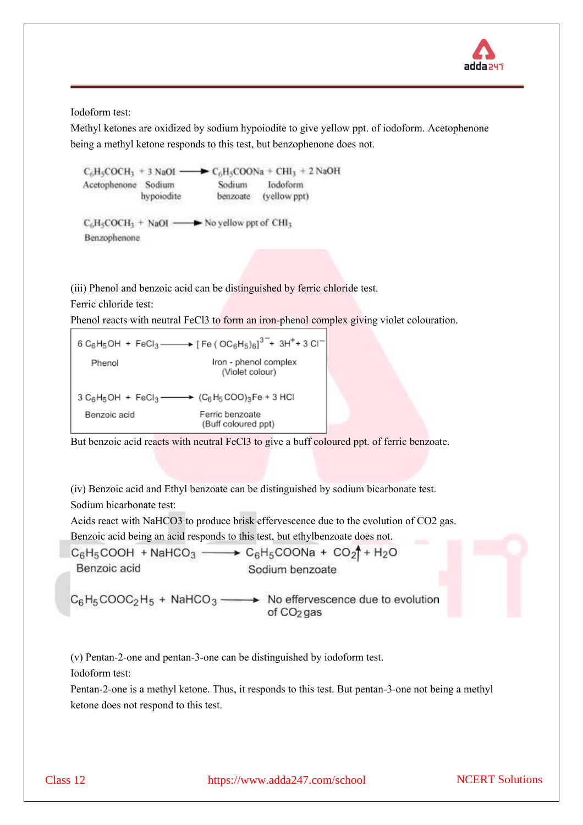

Iodoform test:

Methyl ketones are oxidized by sodium hypoiodite to give yellow ppt. of iodoform. Acetophenone being a methyl ketone responds to this test, but benzophenone does not.

 $\rightarrow C_6H_5COONa + CHI_3 + 2NaOH$  $C_6H_5COCH_1 + 3$  NaOI -Acetophenone Sodium Sodium Iodoform hypoiodite benzoate (yellow ppt)  $C_6H_5COCH_3 + NaOI$   $\longrightarrow$  No yellow ppt of CHI<sub>3</sub> Benzophenone

(iii) Phenol and benzoic acid can be distinguished by ferric chloride test.

Ferric chloride test:

Phenol reacts with neutral FeCl3 to form an iron-phenol complex giving violet colouration.

$$
6 C_6H_5OH + FeCl_3 \longrightarrow [Fe (OC_6H_5)_{6}]^{3-} + 3H^+ + 3Cl^-
$$
  
\n
$$
1ron - phenol complex
$$
  
\n
$$
(Violet colour)
$$
  
\n
$$
3 C_6H_5OH + FeCl_3 \longrightarrow (C_6H_5 COO)_3Fe + 3 HCl
$$
  
\n
$$
120HCl
$$
  
\n
$$
120HCl
$$
  
\n
$$
120HCl
$$
  
\n
$$
120HCl
$$
  
\n
$$
120HCl
$$
  
\n
$$
120HCl
$$
  
\n
$$
120HCl
$$
  
\n
$$
120HCl
$$
  
\n
$$
120HCl
$$
  
\n
$$
120HCl
$$
  
\n
$$
120HCl
$$
  
\n
$$
120HCl
$$
  
\n
$$
120HCl
$$
  
\n
$$
120HCl
$$
  
\n
$$
120HCl
$$
  
\n
$$
120HCl
$$
  
\n
$$
120HCl
$$
  
\n
$$
120HCl
$$
  
\n
$$
120HCl
$$
  
\n
$$
120HCl
$$
  
\n
$$
120HCl
$$
  
\n
$$
120HCl
$$
  
\n
$$
120HCl
$$
  
\n
$$
120HCl
$$
  
\n
$$
120HCl
$$
  
\n
$$
120HCl
$$
  
\n
$$
120HCl
$$
  
\n
$$
120HCl
$$
  
\n
$$
120HCl
$$
  
\n
$$
120HCl
$$
  
\n
$$
120HCl
$$
  
\n
$$
120HCl
$$
  
\n
$$
120HCl
$$
  
\n
$$
120HCl
$$
  
\n
$$
120HCl
$$
  
\n
$$
120HCl
$$
  
\n
$$
120HCl
$$
  
\n<math display="</math>

But benzoic acid reacts with neutral FeCl3 to give a buff coloured ppt. of ferric benzoate.

(iv) Benzoic acid and Ethyl benzoate can be distinguished by sodium bicarbonate test. Sodium bicarbonate test:

Acids react with NaHCO3 to produce brisk effervescence due to the evolution of CO2 gas.

Benzoic acid being an acid responds to this test, but ethylbenzoate does not.

$$
C_6H_5COOH + NaHCO_3 \longrightarrow C_6H_5COONa + CO_2 \uparrow + H_2O
$$
\n  
\nBenzoic acid  
\n
$$
C_6H_5COOC_2H_5 + NaHCO_3 \longrightarrow No \text{ effervescence due to evolution of CO_2} \longrightarrow 0
$$
\n  
\n
$$
C_6H_5COOC_2H_5 + NaHCO_3 \longrightarrow 0
$$
\n  
\n
$$
C_6C_2
$$

(v) Pentan-2-one and pentan-3-one can be distinguished by iodoform test. Iodoform test:

Pentan-2-one is a methyl ketone. Thus, it responds to this test. But pentan-3-one not being a methyl ketone does not respond to this test.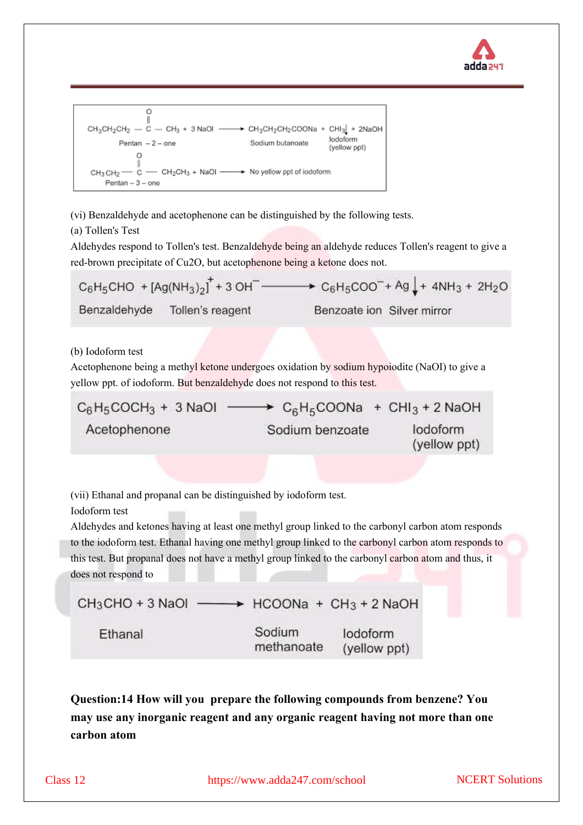



(vi) Benzaldehyde and acetophenone can be distinguished by the following tests.

(a) Tollen's Test

Aldehydes respond to Tollen's test. Benzaldehyde being an aldehyde reduces Tollen's reagent to give a red-brown precipitate of Cu2O, but acetophenone being a ketone does not.

 $C_6H_5CHO + [Ag(NH_3)_2]^+ + 3 OH^ \longrightarrow$   $C_6H_5COO^- + Ag + 4NH_3 + 2H_2O$ Benzaldehyde Tollen's reagent Benzoate ion Silver mirror

(b) Iodoform test

Acetophenone being a methyl ketone undergoes oxidation by sodium hypoiodite (NaOI) to give a yellow ppt. of iodoform. But benzaldehyde does not respond to this test.

| $C_6H_5COCH_3 + 3$ NaOI | $\rightarrow$ C <sub>6</sub> H <sub>5</sub> COONa + CHI <sub>3</sub> + 2 NaOH |                          |
|-------------------------|-------------------------------------------------------------------------------|--------------------------|
| Acetophenone            | Sodium benzoate                                                               | lodoform<br>(yellow ppt) |

(vii) Ethanal and propanal can be distinguished by iodoform test.

Iodoform test

Aldehydes and ketones having at least one methyl group linked to the carbonyl carbon atom responds to the iodoform test. Ethanal having one methyl group linked to the carbonyl carbon atom responds to this test. But propanal does not have a methyl group linked to the carbonyl carbon atom and thus, it does not respond to

```
CH_3CHO + 3 NaOl \longrightarrow HCOONa + CH<sub>3</sub> + 2 NaOH
                              Sodium
  Ethanal
                                              lodoform
                              methanoate
                                              (yellow ppt)
```
**Question:14 How will you prepare the following compounds from benzene? You may use any inorganic reagent and any organic reagent having not more than one carbon atom**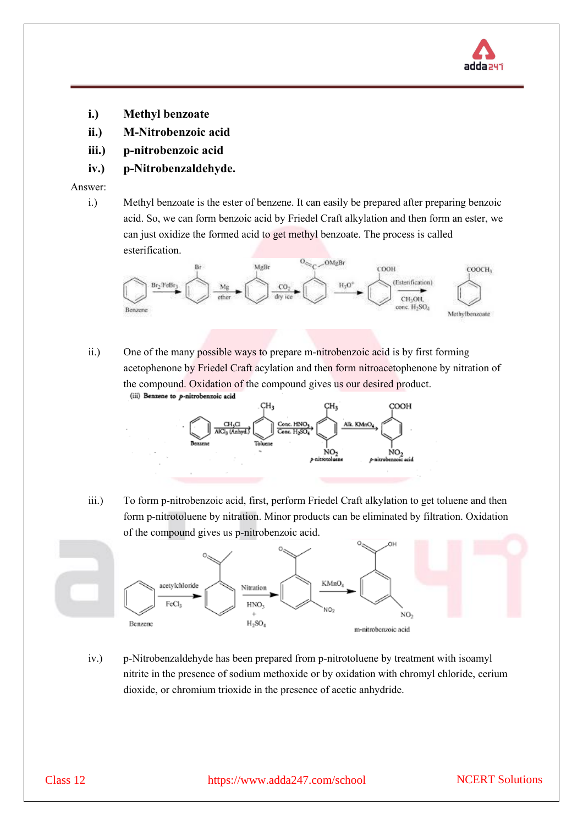

- **i.) Methyl benzoate**
- **ii.) M-Nitrobenzoic acid**
- **iii.) p-nitrobenzoic acid**
- **iv.) p-Nitrobenzaldehyde.**

i.) Methyl benzoate is the ester of benzene. It can easily be prepared after preparing benzoic acid. So, we can form benzoic acid by Friedel Craft alkylation and then form an ester, we can just oxidize the formed acid to get methyl benzoate. The process is called esterification.



ii.) One of the many possible ways to prepare m-nitrobenzoic acid is by first forming acetophenone by Friedel Craft acylation and then form nitroacetophenone by nitration of the compound. Oxidation of the compound gives us our desired product.



iii.) To form p-nitrobenzoic acid, first, perform Friedel Craft alkylation to get toluene and then form p-nitrotoluene by nitration. Minor products can be eliminated by filtration. Oxidation of the compound gives us p-nitrobenzoic acid.



iv.) p-Nitrobenzaldehyde has been prepared from p-nitrotoluene by treatment with isoamyl nitrite in the presence of sodium methoxide or by oxidation with chromyl chloride, cerium dioxide, or chromium trioxide in the presence of acetic anhydride.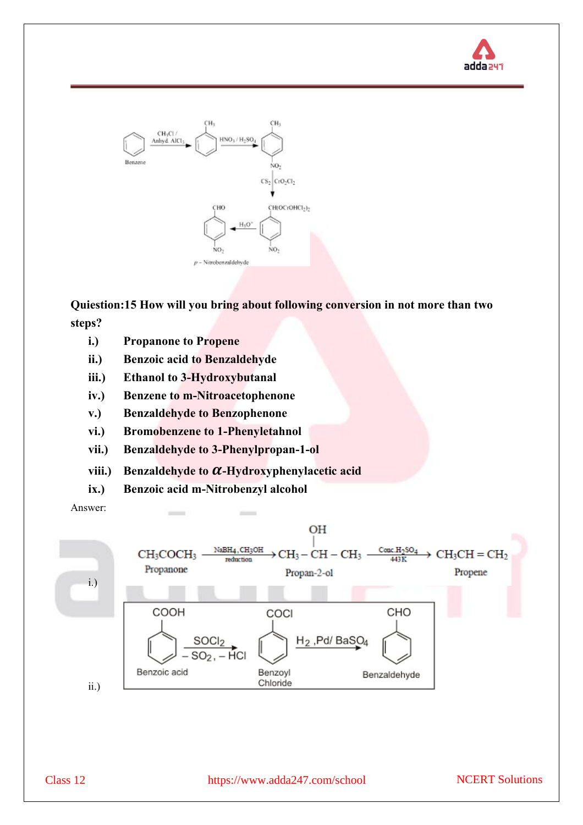



**Quiestion:15 How will you bring about following conversion in not more than two steps?**

- **i.) Propanone to Propene**
- **ii.) Benzoic acid to Benzaldehyde**
- **iii.) Ethanol to 3-Hydroxybutanal**
- **iv.) Benzene to m-Nitroacetophenone**
- **v.) Benzaldehyde to Benzophenone**
- **vi.) Bromobenzene to 1-Phenyletahnol**
- **vii.) Benzaldehyde to 3-Phenylpropan-1-ol**
- viii.) Benzaldehyde to  $\alpha$ -Hydroxyphenylacetic acid
- **ix.) Benzoic acid m-Nitrobenzyl alcohol**



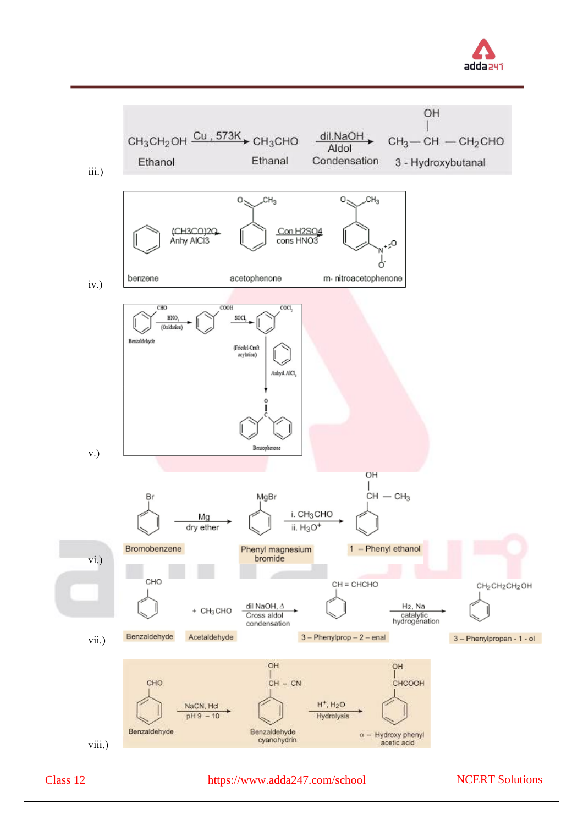

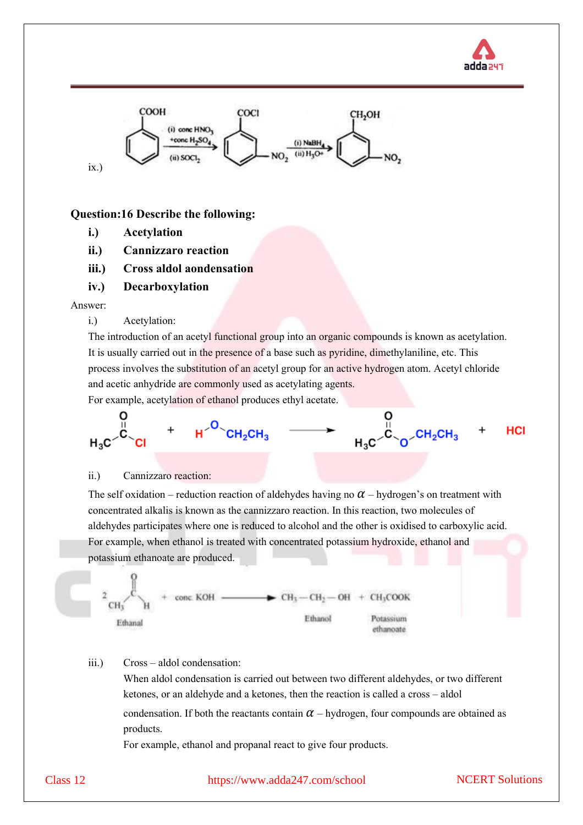



#### **Question:16 Describe the following:**

- **i.) Acetylation**
- **ii.) Cannizzaro reaction**
- **iii.) Cross aldol aondensation**
- **iv.) Decarboxylation**

#### Answer:

i.) Acetylation:

The introduction of an acetyl functional group into an organic compounds is known as acetylation. It is usually carried out in the presence of a base such as pyridine, dimethylaniline, etc. This process involves the substitution of an acetyl group for an active hydrogen atom. Acetyl chloride and acetic anhydride are commonly used as acetylating agents.

For example, acetylation of ethanol produces ethyl acetate.



#### ii.) Cannizzaro reaction:

The self oxidation – reduction reaction of aldehydes having no  $\alpha$  – hydrogen's on treatment with concentrated alkalis is known as the cannizzaro reaction. In this reaction, two molecules of aldehydes participates where one is reduced to alcohol and the other is oxidised to carboxylic acid. For example, when ethanol is treated with concentrated potassium hydroxide, ethanol and potassium ethanoate are produced.



#### iii.) Cross – aldol condensation:

When aldol condensation is carried out between two different aldehydes, or two different ketones, or an aldehyde and a ketones, then the reaction is called a cross – aldol condensation. If both the reactants contain  $\alpha$  – hydrogen, four compounds are obtained as products.

For example, ethanol and propanal react to give four products.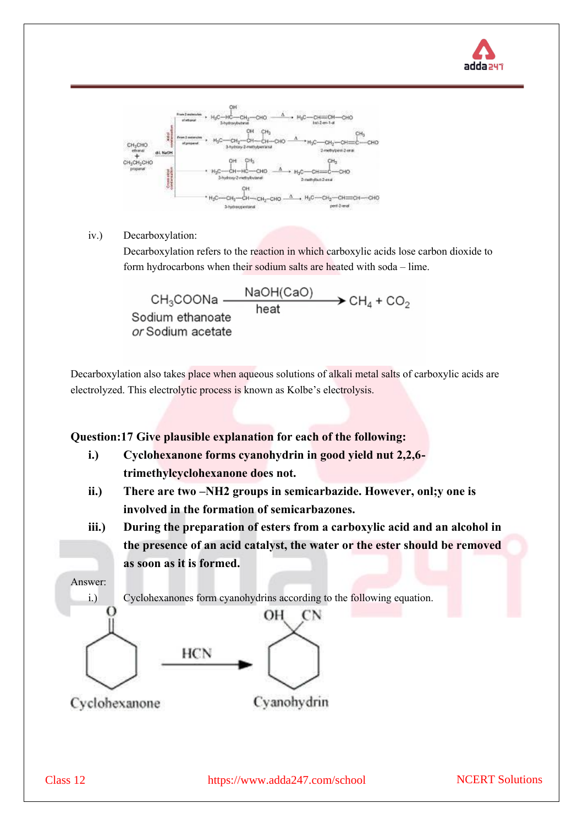



iv.) Decarboxylation:

Decarboxylation refers to the reaction in which carboxylic acids lose carbon dioxide to form hydrocarbons when their sodium salts are heated with soda – lime.



Decarboxylation also takes place when aqueous solutions of alkali metal salts of carboxylic acids are electrolyzed. This electrolytic process is known as Kolbe's electrolysis.

## **Question:17 Give plausible explanation for each of the following:**

- **i.) Cyclohexanone forms cyanohydrin in good yield nut 2,2,6 trimethylcyclohexanone does not.**
- **ii.) There are two –NH2 groups in semicarbazide. However, onl;y one is involved in the formation of semicarbazones.**
- **iii.) During the preparation of esters from a carboxylic acid and an alcohol in the presence of an acid catalyst, the water or the ester should be removed as soon as it is formed.**

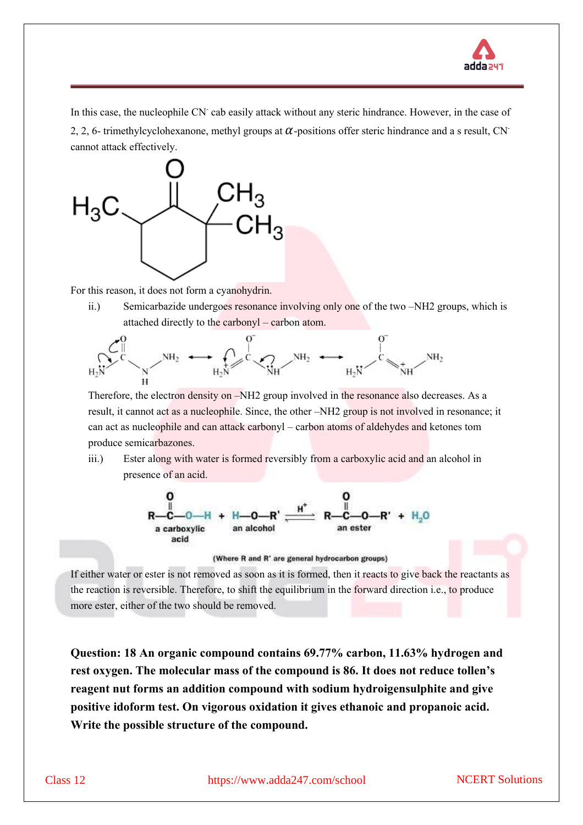

In this case, the nucleophile CN<sup>-</sup> cab easily attack without any steric hindrance. However, in the case of 2, 2, 6- trimethylcyclohexanone, methyl groups at  $\alpha$ -positions offer steric hindrance and a s result, CN<sup>-</sup> cannot attack effectively.



For this reason, it does not form a cyanohydrin.

ii.) Semicarbazide undergoes resonance involving only one of the two –NH2 groups, which is attached directly to the carbonyl – carbon atom.



Therefore, the electron density on –NH2 group involved in the resonance also decreases. As a result, it cannot act as a nucleophile. Since, the other –NH2 group is not involved in resonance; it can act as nucleophile and can attack carbonyl – carbon atoms of aldehydes and ketones tom produce semicarbazones.

iii.) Ester along with water is formed reversibly from a carboxylic acid and an alcohol in presence of an acid.



(Where R and R' are general hydrocarbon groups)

If either water or ester is not removed as soon as it is formed, then it reacts to give back the reactants as the reaction is reversible. Therefore, to shift the equilibrium in the forward direction i.e., to produce more ester, either of the two should be removed.

**Question:18 An organic compound contains 69.77% carbon, 11.63% hydrogen and rest oxygen. The molecular mass of the compound is 86. It does not reduce tollen's reagent nut forms an addition compound with sodium hydroigensulphite and give positive idoform test. On vigorous oxidation it gives ethanoic and propanoic acid. Write the possible structure of the compound.**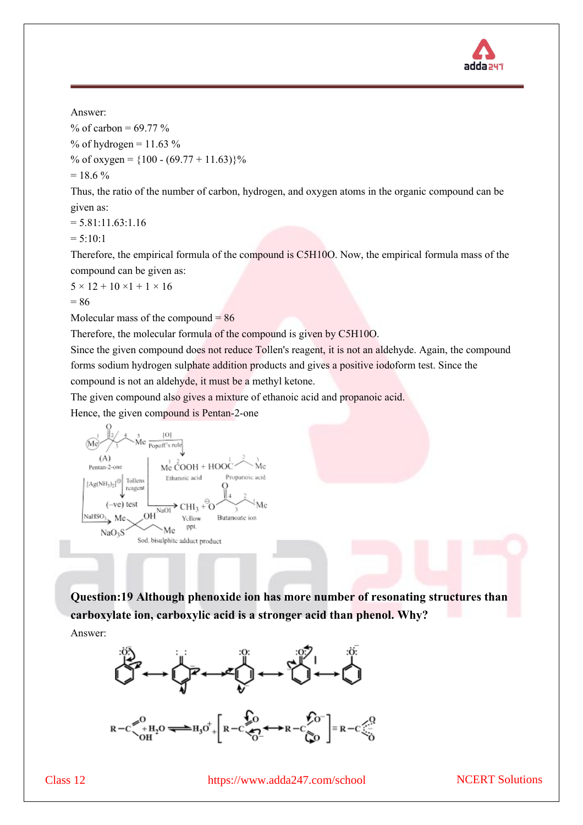

% of carbon =  $69.77$ % % of hydrogen =  $11.63$  %

% of oxygen =  ${100 - (69.77 + 11.63)}$ %

 $= 18.6 \%$ 

Thus, the ratio of the number of carbon, hydrogen, and oxygen atoms in the organic compound can be given as:

 $= 5.81:11.63:1.16$ 

$$
= 5:10:1
$$

Therefore, the empirical formula of the compound is C5H10O. Now, the empirical formula mass of the compound can be given as:

 $5 \times 12 + 10 \times 1 + 1 \times 16$ 

 $= 86$ 

Molecular mass of the compound  $= 86$ 

Therefore, the molecular formula of the compound is given by C5H10O.

Since the given compound does not reduce Tollen's reagent, it is not an aldehyde. Again, the compound forms sodium hydrogen sulphate addition products and gives a positive iodoform test. Since the compound is not an aldehyde, it must be a methyl ketone.

The given compound also gives a mixture of ethanoic acid and propanoic acid.

Hence, the given compound is Pentan-2-one



**Question:19 Although phenoxide ion has more number of resonating structures than carboxylate ion, carboxylic acid is a stronger acid than phenol. Why?**

Answer: